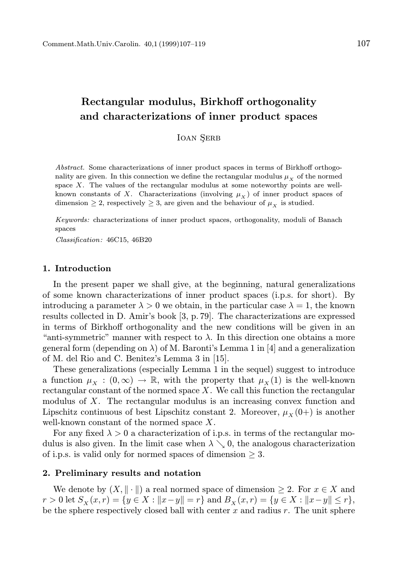# Rectangular modulus, Birkhoff orthogonality and characterizations of inner product spaces

**IOAN SERB** 

Abstract. Some characterizations of inner product spaces in terms of Birkhoff orthogonality are given. In this connection we define the rectangular modulus  $\mu<sub>x</sub>$  of the normed space  $X$ . The values of the rectangular modulus at some noteworthy points are wellknown constants of X. Characterizations (involving  $\mu_X$ ) of inner product spaces of dimension  $\geq 2$ , respectively  $\geq 3$ , are given and the behaviour of  $\mu_X$  is studied.

Keywords: characterizations of inner product spaces, orthogonality, moduli of Banach spaces

Classification: 46C15, 46B20

### 1. Introduction

In the present paper we shall give, at the beginning, natural generalizations of some known characterizations of inner product spaces (i.p.s. for short). By introducing a parameter  $\lambda > 0$  we obtain, in the particular case  $\lambda = 1$ , the known results collected in D. Amir's book [3, p. 79]. The characterizations are expressed in terms of Birkhoff orthogonality and the new conditions will be given in an "anti-symmetric" manner with respect to  $\lambda$ . In this direction one obtains a more general form (depending on  $\lambda$ ) of M. Baronti's Lemma 1 in [4] and a generalization of M. del Rio and C. Benitez's Lemma 3 in [15].

These generalizations (especially Lemma 1 in the sequel) suggest to introduce a function  $\mu_X : (0, \infty) \to \mathbb{R}$ , with the property that  $\mu_X(1)$  is the well-known rectangular constant of the normed space  $X$ . We call this function the rectangular modulus of  $X$ . The rectangular modulus is an increasing convex function and Lipschitz continuous of best Lipschitz constant 2. Moreover,  $\mu_X(0+)$  is another well-known constant of the normed space X.

For any fixed  $\lambda > 0$  a characterization of i.p.s. in terms of the rectangular modulus is also given. In the limit case when  $\lambda \searrow 0$ , the analogous characterization of i.p.s. is valid only for normed spaces of dimension  $\geq 3$ .

### 2. Preliminary results and notation

We denote by  $(X, \|\cdot\|)$  a real normed space of dimension  $\geq 2$ . For  $x \in X$  and  $r > 0$  let  $S_X(x, r) = \{y \in X : ||x - y|| = r\}$  and  $B_X(x, r) = \{y \in X : ||x - y|| \le r\},$ be the sphere respectively closed ball with center  $x$  and radius  $r$ . The unit sphere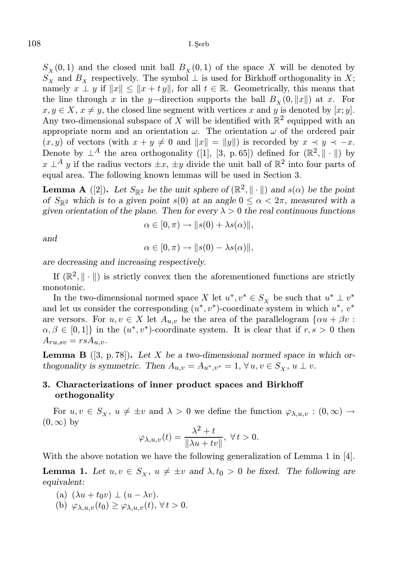$S_X(0,1)$  and the closed unit ball  $B_X(0,1)$  of the space X will be denoted by  $S_X$  and  $B_X$  respectively. The symbol  $\perp$  is used for Birkhoff orthogonality in X; namely  $x \perp y$  if  $||x|| \le ||x + ty||$ , for all  $t \in \mathbb{R}$ . Geometrically, this means that the line through x in the y–direction supports the ball  $B_x (0, ||x||)$  at x. For  $x, y \in X$ ,  $x \neq y$ , the closed line segment with vertices x and y is denoted by [x; y]. Any two-dimensional subspace of X will be identified with  $\mathbb{R}^2$  equipped with an appropriate norm and an orientation  $\omega$ . The orientation  $\omega$  of the ordered pair  $(x, y)$  of vectors (with  $x + y \neq 0$  and  $||x|| = ||y||$ ) is recorded by  $x \prec y \prec -x$ . Denote by  $\perp^A$  the area orthogonality ([1], [3, p.65]) defined for  $(\mathbb{R}^2, \|\cdot\|)$  by  $x \perp^A y$  if the radius vectors  $\pm x$ ,  $\pm y$  divide the unit ball of  $\mathbb{R}^2$  into four parts of equal area. The following known lemmas will be used in Section 3.

**Lemma A** ([2]). Let  $S_{\mathbb{R}^2}$  be the unit sphere of  $(\mathbb{R}^2, \|\cdot\|)$  and  $s(\alpha)$  be the point of  $S_{\mathbb{R}^2}$  which is to a given point s(0) at an angle  $0 \leq \alpha < 2\pi$ , measured with a given orientation of the plane. Then for every  $\lambda > 0$  the real continuous functions

$$
\alpha \in [0, \pi) \to ||s(0) + \lambda s(\alpha)||,
$$

and

$$
\alpha\in[0,\pi)\to\|s(0)-\lambda s(\alpha)\|,
$$

are decreasing and increasing respectively.

If  $(\mathbb{R}^2, \|\cdot\|)$  is strictly convex then the aforementioned functions are strictly monotonic.

In the two-dimensional normed space X let  $u^*, v^* \in S_X$  be such that  $u^* \perp v^*$ and let us consider the corresponding  $(u^*, v^*)$ -coordinate system in which  $u^*, v^*$ are versors. For  $u, v \in X$  let  $A_{u,v}$  be the area of the parallelogram  $\{ \alpha u + \beta v :$  $\alpha, \beta \in [0,1]$ } in the  $(u^*, v^*)$ -coordinate system. It is clear that if  $r, s > 0$  then  $A_{ru,sv} = rsA_{u,v}.$ 

**Lemma B** ([3, p. 78]). Let X be a two-dimensional normed space in which orthogonality is symmetric. Then  $A_{u,v} = A_{u^*,v^*} = 1, \forall u, v \in S_x$ ,  $u \perp v$ .

## 3. Characterizations of inner product spaces and Birkhoff orthogonality

For  $u, v \in S_{\chi}, u \neq \pm v$  and  $\lambda > 0$  we define the function  $\varphi_{\lambda,u,v} : (0, \infty) \to$  $(0, \infty)$  by

$$
\varphi_{\lambda,u,v}(t) = \frac{\lambda^2 + t}{\|\lambda u + tv\|}, \ \forall \, t > 0.
$$

With the above notation we have the following generalization of Lemma 1 in [4].

**Lemma 1.** Let  $u, v \in S_{x}$ ,  $u \neq \pm v$  and  $\lambda, t_0 > 0$  be fixed. The following are equivalent:

(a) 
$$
(\lambda u + t_0 v) \perp (u - \lambda v).
$$

(b)  $\varphi_{\lambda,u,v}(t_0) \geq \varphi_{\lambda,u,v}(t)$ ,  $\forall t > 0$ .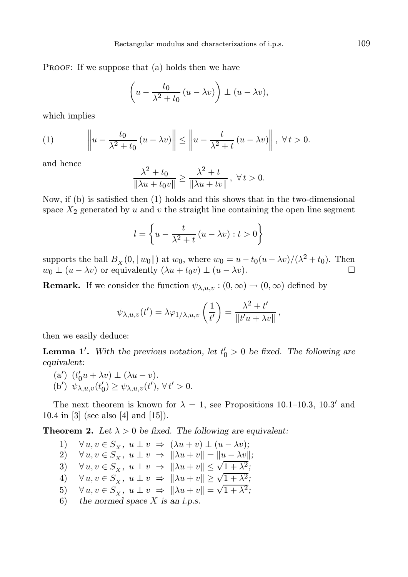PROOF: If we suppose that (a) holds then we have

$$
\left(u - \frac{t_0}{\lambda^2 + t_0} (u - \lambda v)\right) \perp (u - \lambda v),
$$

which implies

(1) 
$$
\left\| u - \frac{t_0}{\lambda^2 + t_0} \left( u - \lambda v \right) \right\| \le \left\| u - \frac{t}{\lambda^2 + t} \left( u - \lambda v \right) \right\|, \ \forall \, t > 0.
$$

and hence

$$
\frac{\lambda^2 + t_0}{\|\lambda u + t_0 v\|} \ge \frac{\lambda^2 + t}{\|\lambda u + tv\|}, \ \forall \, t > 0.
$$

Now, if (b) is satisfied then (1) holds and this shows that in the two-dimensional space  $X_2$  generated by u and v the straight line containing the open line segment

$$
l = \left\{ u - \frac{t}{\lambda^2 + t} \left( u - \lambda v \right) : t > 0 \right\}
$$

supports the ball  $B_X(0, ||w_0||)$  at  $w_0$ , where  $w_0 = u - t_0(u - \lambda v)/(\lambda^2 + t_0)$ . Then  $w_0 \perp (u - \lambda v)$  or equivalently  $(\lambda u + t_0 v) \perp (u - \lambda v)$ .

**Remark.** If we consider the function  $\psi_{\lambda,u,v} : (0,\infty) \to (0,\infty)$  defined by

$$
\psi_{\lambda,u,v}(t') = \lambda \varphi_{1/\lambda,u,v}\left(\frac{1}{t'}\right) = \frac{\lambda^2 + t'}{\|t'u + \lambda v\|}
$$

,

then we easily deduce:

**Lemma 1'.** With the previous notation, let  $t'_0 > 0$  be fixed. The following are equivalent:

- (a')  $(t'_0u + \lambda v) \perp (\lambda u v).$
- (b')  $\psi_{\lambda, u, v}(t_0') \geq \psi_{\lambda, u, v}(t')$ ,  $\forall t' > 0$ .

The next theorem is known for  $\lambda = 1$ , see Propositions 10.1–10.3, 10.3' and 10.4 in [3] (see also [4] and [15]).

**Theorem 2.** Let  $\lambda > 0$  be fixed. The following are equivalent:

1)  $\forall u, v \in S_X, u \perp v \Rightarrow (\lambda u + v) \perp (u - \lambda v);$ 2)  $\forall u, v \in S_X, u \perp v \Rightarrow ||\lambda u + v|| = ||u - \lambda v||;$ 3)  $\forall u, v \in S_X$ ,  $u \perp v \Rightarrow ||\lambda u + v|| \leq \sqrt{1 + \lambda^2}$ ; 4)  $\forall u, v \in S_X^{\lambda}$ ,  $u \perp v \Rightarrow ||\lambda u + v|| \geq \sqrt{1 + \lambda^2}$ ; 5)  $\forall u, v \in S_X^{\lambda}$ ,  $u \perp v \Rightarrow ||\lambda u + v|| = \sqrt{1 + \lambda^2}$ ; 6) the normed space  $X$  is an i.p.s.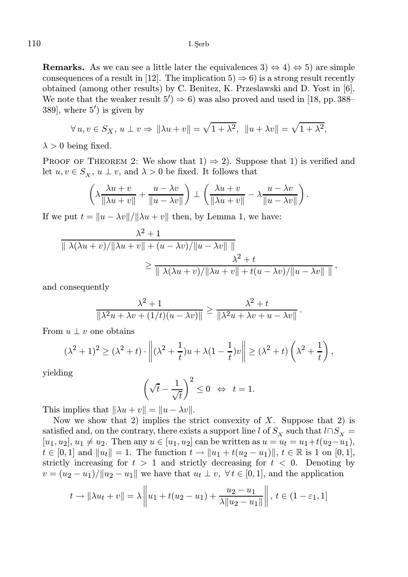**Remarks.** As we can see a little later the equivalences  $3 \leftrightarrow 4 \leftrightarrow 5$  are simple consequences of a result in [12]. The implication  $5 \Rightarrow 6$  is a strong result recently obtained (among other results) by C. Benitez, K. Przeslawski and D. Yost in [6]. We note that the weaker result  $5'$   $\Rightarrow$  6) was also proved and used in [18, pp. 388– 389], where 5′ ) is given by

$$
\forall u, v \in S_X, u \perp v \Rightarrow \|\lambda u + v\| = \sqrt{1 + \lambda^2}, \ \ \|u + \lambda v\| = \sqrt{1 + \lambda^2},
$$

 $\lambda > 0$  being fixed.

PROOF OF THEOREM 2: We show that  $1) \Rightarrow 2$ . Suppose that 1) is verified and let  $u, v \in S_{\mathbf{x}}, u \perp v$ , and  $\lambda > 0$  be fixed. It follows that

$$
\left(\lambda \frac{\lambda u + v}{\|\lambda u + v\|} + \frac{u - \lambda v}{\|u - \lambda v\|}\right) \perp \left(\frac{\lambda u + v}{\|\lambda u + v\|} - \lambda \frac{u - \lambda v}{\|u - \lambda v\|}\right).
$$

If we put  $t = ||u - \lambda v|| / ||\lambda u + v||$  then, by Lemma 1, we have:

$$
\frac{\lambda^2 + 1}{\|\lambda(\lambda u + v)/\|\lambda u + v\| + (u - \lambda v)/\|u - \lambda v\|\|\Delta u} \ge \frac{\lambda^2 + t}{\|\lambda(\lambda u + v)/\|\lambda u + v\| + t(u - \lambda v)/\|u - \lambda v\|\|\Delta u}.
$$

and consequently

$$
\frac{\lambda^2 + 1}{\|\lambda^2 u + \lambda v + (1/t)(u - \lambda v)\|} \ge \frac{\lambda^2 + t}{\|\lambda^2 u + \lambda v + u - \lambda v\|}
$$

.

From  $u \perp v$  one obtains

$$
(\lambda^2 + 1)^2 \geq (\lambda^2 + t) \cdot \left\| (\lambda^2 + \frac{1}{t})u + \lambda(1 - \frac{1}{t})v \right\| \geq (\lambda^2 + t) \left( \lambda^2 + \frac{1}{t} \right),
$$

yielding

$$
\left(\sqrt{t} - \frac{1}{\sqrt{t}}\right)^2 \le 0 \iff t = 1.
$$

This implies that  $\|\lambda u + v\| = \|u - \lambda v\|.$ 

Now we show that 2) implies the strict convexity of  $X$ . Suppose that 2) is satisfied and, on the contrary, there exists a support line l of  $S_X$  such that  $l \cap S_X =$  $[u_1, u_2], u_1 \neq u_2$ . Then any  $u \in [u_1, u_2]$  can be written as  $u = u_t = u_1+t(u_2-u_1)$ ,  $t \in [0,1]$  and  $||u_t|| = 1$ . The function  $t \to ||u_1 + t(u_2 - u_1)||$ ,  $t \in \mathbb{R}$  is 1 on [0, 1], strictly increasing for  $t > 1$  and strictly decreasing for  $t < 0$ . Denoting by  $v = (u_2 - u_1)/\|u_2 - u_1\|$  we have that  $u_t \perp v$ ,  $\forall t \in [0, 1]$ , and the application

$$
t \to \|\lambda u_t + v\| = \lambda \left\| u_1 + t(u_2 - u_1) + \frac{u_2 - u_1}{\lambda \| u_2 - u_1 \|} \right\|, \ t \in (1 - \varepsilon_1, 1]
$$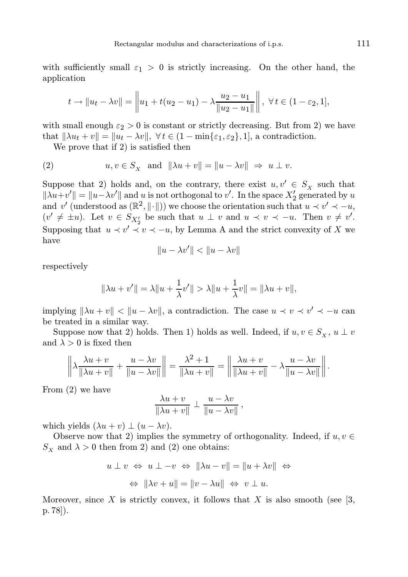with sufficiently small  $\varepsilon_1 > 0$  is strictly increasing. On the other hand, the application

$$
t \to \|u_t - \lambda v\| = \left\|u_1 + t(u_2 - u_1) - \lambda \frac{u_2 - u_1}{\|u_2 - u_1\|}\right\|, \ \forall \, t \in (1 - \varepsilon_2, 1],
$$

with small enough  $\varepsilon_2 > 0$  is constant or strictly decreasing. But from 2) we have that  $\|\lambda u_t + v\| = \|u_t - \lambda v\|, \forall t \in (1 - \min\{\varepsilon_1, \varepsilon_2\}, 1],$  a contradiction.

We prove that if 2) is satisfied then

(2) 
$$
u, v \in S_X
$$
 and  $\|\lambda u + v\| = \|u - \lambda v\| \Rightarrow u \perp v$ .

Suppose that 2) holds and, on the contrary, there exist  $u, v' \in S_X$  such that  $\|\lambda u + v'\| = \|u - \lambda v'\|$  and u is not orthogonal to v'. In the space  $X'_2$  generated by u and v' (understood as  $(\mathbb{R}^2, \|\cdot\|)$ ) we choose the orientation such that  $u \prec v' \prec -u$ ,  $(v' \neq \pm u)$ . Let  $v \in S_{X'_2}$  be such that  $u \perp v$  and  $u \prec v \prec -u$ . Then  $v \neq v'$ . Supposing that  $u \prec v' \prec v \prec -u$ , by Lemma A and the strict convexity of X we have

$$
||u - \lambda v'|| < ||u - \lambda v||
$$

respectively

$$
\|\lambda u + v'\| = \lambda \|u + \frac{1}{\lambda}v'\| > \lambda \|u + \frac{1}{\lambda}v\| = \|\lambda u + v\|,
$$

implying  $\|\lambda u + v\| < \|u - \lambda v\|$ , a contradiction. The case  $u \prec v \prec v' \prec -u$  can be treated in a similar way.

Suppose now that 2) holds. Then 1) holds as well. Indeed, if  $u, v \in S_{\mathbf{x}}$ ,  $u \perp v$ and  $\lambda > 0$  is fixed then

$$
\left\|\lambda \frac{\lambda u + v}{\|\lambda u + v\|} + \frac{u - \lambda v}{\|u - \lambda v\|}\right\| = \frac{\lambda^2 + 1}{\|\lambda u + v\|} = \left\|\frac{\lambda u + v}{\|\lambda u + v\|} - \lambda \frac{u - \lambda v}{\|u - \lambda v\|}\right\|.
$$

From (2) we have

$$
\frac{\lambda u + v}{\|\lambda u + v\|} \perp \frac{u - \lambda v}{\|u - \lambda v\|},
$$

which yields  $(\lambda u + v) \perp (u - \lambda v)$ .

Observe now that 2) implies the symmetry of orthogonality. Indeed, if  $u, v \in$  $S_{\rm x}$  and  $\lambda > 0$  then from 2) and (2) one obtains:

$$
u \perp v \Leftrightarrow u \perp -v \Leftrightarrow \|\lambda u - v\| = \|u + \lambda v\| \Leftrightarrow
$$
  

$$
\Leftrightarrow \|\lambda v + u\| = \|v - \lambda u\| \Leftrightarrow v \perp u.
$$

Moreover, since X is strictly convex, it follows that X is also smooth (see [3, p. 78]).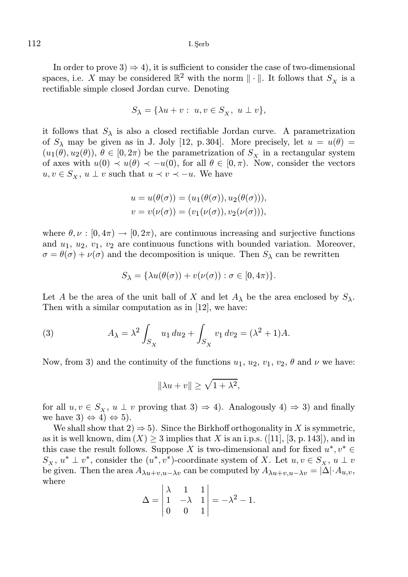112 I. Şerb

In order to prove  $3 \Rightarrow 4$ , it is sufficient to consider the case of two-dimensional spaces, i.e. X may be considered  $\mathbb{R}^2$  with the norm  $\|\cdot\|$ . It follows that  $S_X$  is a rectifiable simple closed Jordan curve. Denoting

$$
S_{\lambda} = \{ \lambda u + v : u, v \in S_X, u \perp v \},\
$$

it follows that  $S_\lambda$  is also a closed rectifiable Jordan curve. A parametrization of  $S_\lambda$  may be given as in J. Joly [12, p. 304]. More precisely, let  $u = u(\theta) =$  $(u_1(\theta), u_2(\theta)), \theta \in [0, 2\pi)$  be the parametrization of  $S_x$  in a rectangular system of axes with  $u(0) \prec u(\theta) \prec -u(0)$ , for all  $\theta \in [0, \pi)$ . Now, consider the vectors  $u, v \in S_{\mathbf{x}}, u \perp v$  such that  $u \prec v \prec -u$ . We have

$$
u = u(\theta(\sigma)) = (u_1(\theta(\sigma)), u_2(\theta(\sigma))),
$$
  

$$
v = v(\nu(\sigma)) = (v_1(\nu(\sigma)), v_2(\nu(\sigma))),
$$

where  $\theta, \nu : [0, 4\pi) \to [0, 2\pi)$ , are continuous increasing and surjective functions and  $u_1, u_2, v_1, v_2$  are continuous functions with bounded variation. Moreover,  $\sigma = \theta(\sigma) + \nu(\sigma)$  and the decomposition is unique. Then  $S_\lambda$  can be rewritten

$$
S_{\lambda} = {\lambda u(\theta(\sigma)) + v(\nu(\sigma)) : \sigma \in [0, 4\pi)}.
$$

Let A be the area of the unit ball of X and let  $A_\lambda$  be the area enclosed by  $S_\lambda$ . Then with a similar computation as in [12], we have:

(3) 
$$
A_{\lambda} = \lambda^2 \int_{S_X} u_1 du_2 + \int_{S_X} v_1 dv_2 = (\lambda^2 + 1)A.
$$

Now, from 3) and the continuity of the functions  $u_1, u_2, v_1, v_2, \theta$  and  $\nu$  we have:

$$
\|\lambda u + v\| \ge \sqrt{1 + \lambda^2},
$$

for all  $u, v \in S_X$ ,  $u \perp v$  proving that  $3) \Rightarrow 4$ ). Analogously  $4) \Rightarrow 3$ ) and finally we have  $3) \Leftrightarrow 4) \Leftrightarrow 5$ .

We shall show that  $2 \Rightarrow 5$ . Since the Birkhoff orthogonality in X is symmetric, as it is well known, dim  $(X) \geq 3$  implies that X is an i.p.s. ([11], [3, p. 143]), and in this case the result follows. Suppose X is two-dimensional and for fixed  $u^*, v^* \in$  $S_X$ ,  $u^* \perp v^*$ , consider the  $(u^*, v^*)$ -coordinate system of X. Let  $u, v \in S_X$ ,  $u \perp v$ be given. Then the area  $A_{\lambda u+v,u-\lambda v}$  can be computed by  $A_{\lambda u+v,u-\lambda v} = |\Delta| \cdot A_{u,v}$ , where

$$
\Delta = \begin{vmatrix} \lambda & 1 & 1 \\ 1 & -\lambda & 1 \\ 0 & 0 & 1 \end{vmatrix} = -\lambda^2 - 1.
$$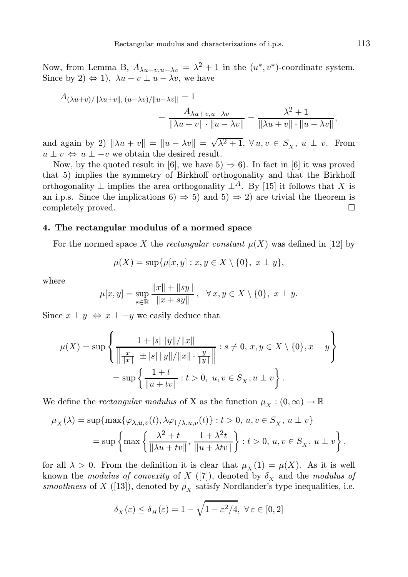Now, from Lemma B,  $A_{\lambda u+v,u-\lambda v} = \lambda^2 + 1$  in the  $(u^*, v^*)$ -coordinate system. Since by 2)  $\Leftrightarrow$  1),  $\lambda u + v \perp u - \lambda v$ , we have

$$
A_{(\lambda u+v)/\|\lambda u+v\|, (u-\lambda v)/\|u-\lambda v\|} = 1
$$
  
= 
$$
\frac{A_{\lambda u+v,u-\lambda v}}{\|\lambda u+v\| \cdot \|u-\lambda v\|} = \frac{\lambda^2 + 1}{\|\lambda u+v\| \cdot \|u-\lambda v\|},
$$

and again by 2)  $\|\lambda u + v\| = \|u - \lambda v\| = \sqrt{\lambda^2 + 1}, \forall u, v \in S_X, u \perp v$ . From  $u \perp v \Leftrightarrow u \perp -v$  we obtain the desired result.

Now, by the quoted result in [6], we have  $5) \Rightarrow 6$ . In fact in [6] it was proved that 5) implies the symmetry of Birkhoff orthogonality and that the Birkhoff orthogonality  $\perp$  implies the area orthogonality  $\perp^A$ . By [15] it follows that X is an i.p.s. Since the implications 6)  $\Rightarrow$  5) and 5)  $\Rightarrow$  2) are trivial the theorem is completely proved. completely proved.

### 4. The rectangular modulus of a normed space

For the normed space X the rectangular constant  $\mu(X)$  was defined in [12] by

$$
\mu(X) = \sup \{ \mu[x, y] : x, y \in X \setminus \{0\}, x \perp y \},\
$$

where

$$
\mu[x, y] = \sup_{s \in \mathbb{R}} \frac{\|x\| + \|sy\|}{\|x + sy\|}, \ \ \forall x, y \in X \setminus \{0\}, \ x \perp y.
$$

Since  $x \perp y \Leftrightarrow x \perp -y$  we easily deduce that

$$
\mu(X) = \sup \left\{ \frac{1 + |s| ||y|| / ||x||}{\left\| \frac{x}{||x||} \right\| + |s| ||y|| / ||x|| \cdot \frac{y}{||y||} \right\} : s \neq 0, x, y \in X \setminus \{0\}, x \perp y \right\}
$$

$$
= \sup \left\{ \frac{1 + t}{||u + tv||} : t > 0, u, v \in S_X, u \perp v \right\}.
$$

We define the *rectangular modulus* of X as the function  $\mu_X : (0, \infty) \to \mathbb{R}$ 

$$
\mu_X(\lambda) = \sup\{\max\{\varphi_{\lambda,u,v}(t), \lambda\varphi_{1/\lambda,u,v}(t)\} : t > 0, u, v \in S_X, u \perp v\}
$$
  
= 
$$
\sup\left\{\max\left\{\frac{\lambda^2 + t}{\|\lambda u + tv\|}, \frac{1 + \lambda^2 t}{\|u + \lambda tv\|}\right\} : t > 0, u, v \in S_X, u \perp v\right\},\
$$

for all  $\lambda > 0$ . From the definition it is clear that  $\mu_X(1) = \mu(X)$ . As it is well known the modulus of convexity of X ([7]), denoted by  $\delta_X$  and the modulus of smoothness of X ([13]), denoted by  $\rho_X$  satisfy Nordlander's type inequalities, i.e.

$$
\delta_X(\varepsilon) \le \delta_H(\varepsilon) = 1 - \sqrt{1 - \varepsilon^2/4}, \ \forall \varepsilon \in [0, 2]
$$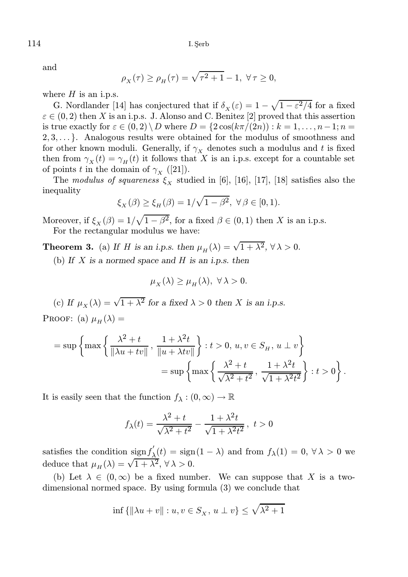and

$$
\rho_X(\tau) \ge \rho_H(\tau) = \sqrt{\tau^2 + 1} - 1, \ \forall \tau \ge 0,
$$

where  $H$  is an i.p.s.

G. Nordlander [14] has conjectured that if  $\delta_X(\varepsilon) = 1 - \sqrt{1 - \varepsilon^2/4}$  for a fixed  $\varepsilon \in (0, 2)$  then X is an i.p.s. J. Alonso and C. Benitez [2] proved that this assertion is true exactly for  $\varepsilon \in (0,2) \setminus D$  where  $D = \{2\cos(k\pi/(2n)) : k = 1, \ldots, n-1; n = 1\}$  $2, 3, \ldots$ . Analogous results were obtained for the modulus of smoothness and for other known moduli. Generally, if  $\gamma_X$  denotes such a modulus and t is fixed then from  $\gamma_X(t) = \gamma_H(t)$  it follows that X is an i.p.s. except for a countable set of points t in the domain of  $\gamma_X$  ([21]).

The modulus of squareness  $\xi_{\rm x}$  studied in [6], [16], [17], [18] satisfies also the inequality

$$
\xi_X(\beta) \ge \xi_H(\beta) = 1/\sqrt{1-\beta^2}, \ \forall \beta \in [0,1).
$$

Moreover, if  $\xi_X(\beta) = 1/\sqrt{1-\beta^2}$ , for a fixed  $\beta \in (0,1)$  then X is an i.p.s. For the rectangular modulus we have:

**Theorem 3.** (a) If H is an i.p.s. then  $\mu_H(\lambda) = \sqrt{1 + \lambda^2}$ ,  $\forall \lambda > 0$ .

(b) If  $X$  is a normed space and  $H$  is an i.p.s. then

$$
\mu_X(\lambda) \ge \mu_H(\lambda), \ \forall \lambda > 0.
$$

(c) If  $\mu_X(\lambda) = \sqrt{1 + \lambda^2}$  for a fixed  $\lambda > 0$  then X is an i.p.s. PROOF: (a)  $\mu_H(\lambda) =$ 

$$
= \sup \left\{ \max \left\{ \frac{\lambda^2 + t}{\|\lambda u + tv\|}, \frac{1 + \lambda^2 t}{\|u + \lambda tv\|} \right\} : t > 0, u, v \in S_H, u \perp v \right\}
$$

$$
= \sup \left\{ \max \left\{ \frac{\lambda^2 + t}{\sqrt{\lambda^2 + t^2}}, \frac{1 + \lambda^2 t}{\sqrt{1 + \lambda^2 t^2}} \right\} : t > 0 \right\}.
$$

It is easily seen that the function  $f_{\lambda}: (0, \infty) \to \mathbb{R}$ 

$$
f_{\lambda}(t) = \frac{\lambda^2 + t}{\sqrt{\lambda^2 + t^2}} - \frac{1 + \lambda^2 t}{\sqrt{1 + \lambda^2 t^2}}, \ t > 0
$$

satisfies the condition sign  $f'_{\lambda}$  $\chi'_{\lambda}(t) = \text{sign}(1 - \lambda)$  and from  $f_{\lambda}(1) = 0, \forall \lambda > 0$  we deduce that  $\mu_H(\lambda) = \sqrt{1 + \lambda^2}$ ,  $\forall \lambda > 0$ .

(b) Let  $\lambda \in (0,\infty)$  be a fixed number. We can suppose that X is a twodimensional normed space. By using formula (3) we conclude that

$$
\inf\left\{\|\lambda u + v\|: u, v \in S_X, u \perp v\right\} \le \sqrt{\lambda^2 + 1}
$$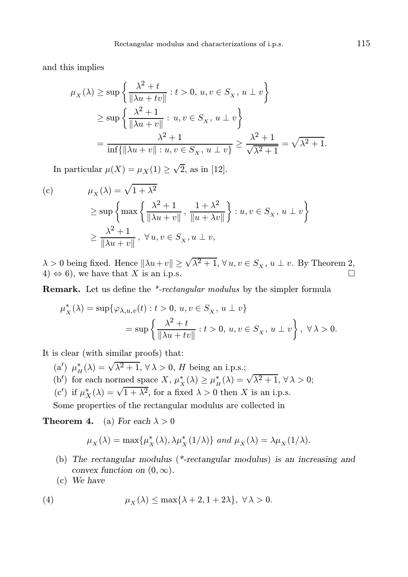and this implies

$$
\mu_X(\lambda) \ge \sup \left\{ \frac{\lambda^2 + t}{\|\lambda u + tv\|} : t > 0, u, v \in S_X, u \perp v \right\}
$$
  

$$
\ge \sup \left\{ \frac{\lambda^2 + 1}{\|\lambda u + v\|} : u, v \in S_X, u \perp v \right\}
$$
  

$$
= \frac{\lambda^2 + 1}{\inf \{ \|\lambda u + v\| : u, v \in S_X, u \perp v \}} \ge \frac{\lambda^2 + 1}{\sqrt{\lambda^2 + 1}} = \sqrt{\lambda^2 + 1}.
$$

In particular  $\mu(X) = \mu_X(1) \geq \sqrt{2}$ , as in [12].

(c) 
$$
\mu_X(\lambda) = \sqrt{1 + \lambda^2}
$$

$$
\ge \sup \left\{ \max \left\{ \frac{\lambda^2 + 1}{\|\lambda u + v\|}, \frac{1 + \lambda^2}{\|u + \lambda v\|} \right\} : u, v \in S_X, u \perp v \right\}
$$

$$
\ge \frac{\lambda^2 + 1}{\|\lambda u + v\|}, \forall u, v \in S_X, u \perp v,
$$

 $\lambda > 0$  being fixed. Hence  $\|\lambda u + v\| \ge \sqrt{\lambda^2 + 1}$ ,  $\forall u, v \in S_X$ ,  $u \perp v$ . By Theorem 2, 4)  $\Leftrightarrow$  6), we have that X is an i.p.s.

Remark. Let us define the \*-rectangular modulus by the simpler formula

$$
\begin{aligned} \mu_X^*(\lambda) &= \sup \{ \varphi_{\lambda,u,v}(t): t > 0, \, u,v \in S_X, \, u \perp v \} \\ &= \sup \left\{ \frac{\lambda^2 + t}{\|\lambda u + tv\|} : t > 0, \, u,v \in S_X, \, u \perp v \right\}, \, \forall \, \lambda > 0. \end{aligned}
$$

It is clear (with similar proofs) that:

- (a')  $\mu^*_H(\lambda) = \sqrt{\lambda^2 + 1}, \,\forall \,\lambda > 0, \,H$  being an i.p.s.;
- (b') for each normed space  $X, \mu_X^*(\lambda) \ge \mu_H^*(\lambda) = \sqrt{\lambda^2 + 1}, \forall \lambda > 0;$
- (c') if  $\mu_X^*(\lambda) = \sqrt{1 + \lambda^2}$ , for a fixed  $\lambda > 0$  then X is an i.p.s.

Some properties of the rectangular modulus are collected in

**Theorem 4.** (a) For each  $\lambda > 0$ 

$$
\mu_X(\lambda)=\max\{\mu_X^*(\lambda),\lambda\mu_X^*(1/\lambda)\} \ and \ \mu_X(\lambda)=\lambda\mu_X(1/\lambda).
$$

- (b) The rectangular modulus (\*-rectangular modulus) is an increasing and convex function on  $(0, \infty)$ .
- (c) We have

(4) 
$$
\mu_X(\lambda) \le \max\{\lambda + 2, 1 + 2\lambda\}, \ \forall \lambda > 0.
$$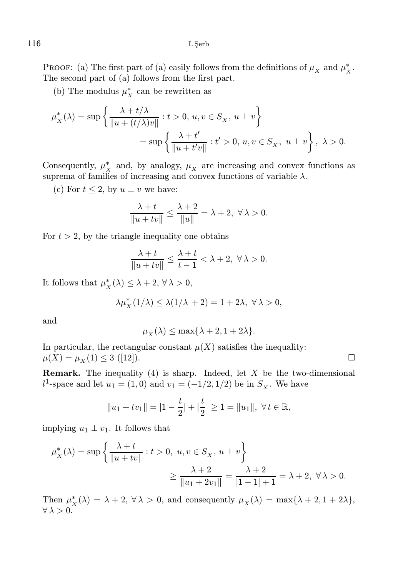PROOF: (a) The first part of (a) easily follows from the definitions of  $\mu_X$  and  $\mu_X^*$ . The second part of (a) follows from the first part.

(b) The modulus  $\mu_X^*$  can be rewritten as

$$
\mu_X^*(\lambda) = \sup \left\{ \frac{\lambda + t/\lambda}{\|u + (t/\lambda)v\|} : t > 0, u, v \in S_X, u \perp v \right\}
$$
  
= 
$$
\sup \left\{ \frac{\lambda + t'}{\|u + t'v\|} : t' > 0, u, v \in S_X, u \perp v \right\}, \ \lambda > 0.
$$

Consequently,  $\mu_X^*$  and, by analogy,  $\mu_X$  are increasing and convex functions as suprema of families of increasing and convex functions of variable  $\lambda$ .

(c) For  $t \leq 2$ , by  $u \perp v$  we have:

$$
\frac{\lambda + t}{\|u + tv\|} \le \frac{\lambda + 2}{\|u\|} = \lambda + 2, \ \forall \lambda > 0.
$$

For  $t > 2$ , by the triangle inequality one obtains

$$
\frac{\lambda + t}{\|u + tv\|} \le \frac{\lambda + t}{t - 1} < \lambda + 2, \ \forall \lambda > 0.
$$

It follows that  $\mu_X^*(\lambda) \leq \lambda + 2, \,\forall \lambda > 0,$ 

$$
\lambda \mu_X^*(1/\lambda) \leq \lambda (1/\lambda + 2) = 1 + 2\lambda, \ \forall \lambda > 0,
$$

and

$$
\mu_X(\lambda) \le \max\{\lambda + 2, 1 + 2\lambda\}.
$$

In particular, the rectangular constant  $\mu(X)$  satisfies the inequality:  $\mu(X) = \mu_X(1) \leq 3$  ([12]).

**Remark.** The inequality  $(4)$  is sharp. Indeed, let X be the two-dimensional  $l^1$ -space and let  $u_1 = (1,0)$  and  $v_1 = (-1/2, 1/2)$  be in  $S_X$ . We have

$$
||u_1 + tv_1|| = |1 - \frac{t}{2}| + |\frac{t}{2}| \ge 1 = ||u_1||, \ \forall t \in \mathbb{R},
$$

implying  $u_1 \perp v_1$ . It follows that

$$
\mu_X^*(\lambda) = \sup \left\{ \frac{\lambda + t}{\|u + tv\|} : t > 0, \ u, v \in S_X, \ u \perp v \right\}
$$
  

$$
\geq \frac{\lambda + 2}{\|u_1 + 2v_1\|} = \frac{\lambda + 2}{|1 - 1| + 1} = \lambda + 2, \ \forall \lambda > 0.
$$

Then  $\mu_X^*(\lambda) = \lambda + 2$ ,  $\forall \lambda > 0$ , and consequently  $\mu_X(\lambda) = \max\{\lambda + 2, 1 + 2\lambda\},\$  $\forall \lambda > 0.$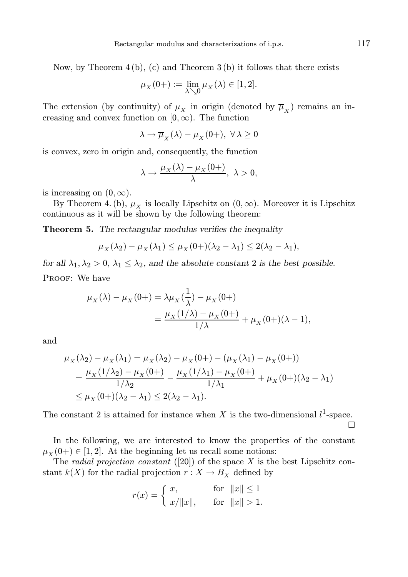Now, by Theorem 4 (b), (c) and Theorem 3 (b) it follows that there exists

$$
\mu_X(0+) := \lim_{\lambda \searrow 0} \mu_X(\lambda) \in [1,2].
$$

The extension (by continuity) of  $\mu_X$  in origin (denoted by  $\overline{\mu}_X$ ) remains an increasing and convex function on  $[0, \infty)$ . The function

$$
\lambda \to \overline{\mu}_X(\lambda) - \mu_X(0+), \ \forall \lambda \ge 0
$$

is convex, zero in origin and, consequently, the function

$$
\lambda \to \frac{\mu_X(\lambda) - \mu_X(0+)}{\lambda}, \ \lambda > 0,
$$

is increasing on  $(0, \infty)$ .

By Theorem 4. (b),  $\mu_X$  is locally Lipschitz on  $(0, \infty)$ . Moreover it is Lipschitz continuous as it will be shown by the following theorem:

**Theorem 5.** The rectangular modulus verifies the inequality

$$
\mu_X(\lambda_2) - \mu_X(\lambda_1) \le \mu_X(0) + (\lambda_2 - \lambda_1) \le 2(\lambda_2 - \lambda_1),
$$

for all  $\lambda_1, \lambda_2 > 0$ ,  $\lambda_1 \leq \lambda_2$ , and the absolute constant 2 is the best possible. PROOF: We have

$$
\mu_X(\lambda) - \mu_X(0+) = \lambda \mu_X(\frac{1}{\lambda}) - \mu_X(0+)
$$
  
= 
$$
\frac{\mu_X(1/\lambda) - \mu_X(0+)}{1/\lambda} + \mu_X(0+)(\lambda - 1),
$$

and

$$
\mu_X(\lambda_2) - \mu_X(\lambda_1) = \mu_X(\lambda_2) - \mu_X(0+) - (\mu_X(\lambda_1) - \mu_X(0+))
$$
  
= 
$$
\frac{\mu_X(1/\lambda_2) - \mu_X(0+)}{1/\lambda_2} - \frac{\mu_X(1/\lambda_1) - \mu_X(0+)}{1/\lambda_1} + \mu_X(0+)(\lambda_2 - \lambda_1)
$$
  
\$\leq \mu\_X(0+)(\lambda\_2 - \lambda\_1) \leq 2(\lambda\_2 - \lambda\_1).

The constant 2 is attained for instance when X is the two-dimensional  $l^1$ -space.  $\Box$ 

In the following, we are interested to know the properties of the constant  $\mu_X(0+) \in [1, 2]$ . At the beginning let us recall some notions:

The *radial projection constant* ([20]) of the space  $X$  is the best Lipschitz constant  $k(X)$  for the radial projection  $r : X \to B_X$  defined by

$$
r(x) = \begin{cases} x, & \text{for } ||x|| \le 1 \\ x/||x||, & \text{for } ||x|| > 1. \end{cases}
$$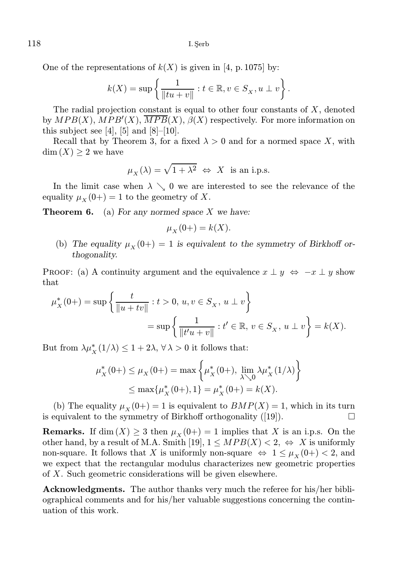118 I. Şerb

One of the representations of  $k(X)$  is given in [4, p. 1075] by:

$$
k(X) = \sup \left\{ \frac{1}{\|tu + v\|} : t \in \mathbb{R}, v \in S_X, u \perp v \right\}.
$$

The radial projection constant is equal to other four constants of  $X$ , denoted by  $MPB(X)$ ,  $MPB'(X)$ ,  $\overline{MPB}(X)$ ,  $\beta(X)$  respectively. For more information on this subject see [4], [5] and  $[8]-[10]$ .

Recall that by Theorem 3, for a fixed  $\lambda > 0$  and for a normed space X, with  $\dim(X) \geq 2$  we have

$$
\mu_X(\lambda) = \sqrt{1 + \lambda^2} \Leftrightarrow X
$$
 is an i.p.s.

In the limit case when  $\lambda \searrow 0$  we are interested to see the relevance of the equality  $\mu_X(0+) = 1$  to the geometry of X.

**Theorem 6.** (a) For any normed space X we have:

$$
\mu_X(0+) = k(X).
$$

(b) The equality  $\mu_X(0+) = 1$  is equivalent to the symmetry of Birkhoff orthogonality.

PROOF: (a) A continuity argument and the equivalence  $x \perp y \Leftrightarrow -x \perp y$  show that

$$
\mu_X^*(0+) = \sup \left\{ \frac{t}{\|u + tv\|} : t > 0, \, u, v \in S_X, \, u \perp v \right\}
$$
  
= 
$$
\sup \left\{ \frac{1}{\|t'u + v\|} : t' \in \mathbb{R}, \, v \in S_X, \, u \perp v \right\} = k(X).
$$

But from  $\lambda \mu_X^*(1/\lambda) \leq 1 + 2\lambda, \forall \lambda > 0$  it follows that:

$$
\mu_X^*(0+) \le \mu_X(0+) = \max \left\{ \mu_X^*(0+), \lim_{\lambda \searrow 0} \lambda \mu_X^*(1/\lambda) \right\}
$$
  

$$
\le \max \{ \mu_X^*(0+), 1 \} = \mu_X^*(0+) = k(X).
$$

(b) The equality  $\mu_X(0+) = 1$  is equivalent to  $BMP(X) = 1$ , which in its turn is equivalent to the symmetry of Birkhoff orthogonality  $([19])$ .

**Remarks.** If dim  $(X) \ge 3$  then  $\mu_X(0+) = 1$  implies that X is an i.p.s. On the other hand, by a result of M.A. Smith [19],  $1 \leq MPB(X) < 2, \Leftrightarrow X$  is uniformly non-square. It follows that X is uniformly non-square  $\Leftrightarrow 1 \leq \mu_X(0+) < 2$ , and we expect that the rectangular modulus characterizes new geometric properties of X. Such geometric considerations will be given elsewhere.

Acknowledgments. The author thanks very much the referee for his/her bibliographical comments and for his/her valuable suggestions concerning the continuation of this work.